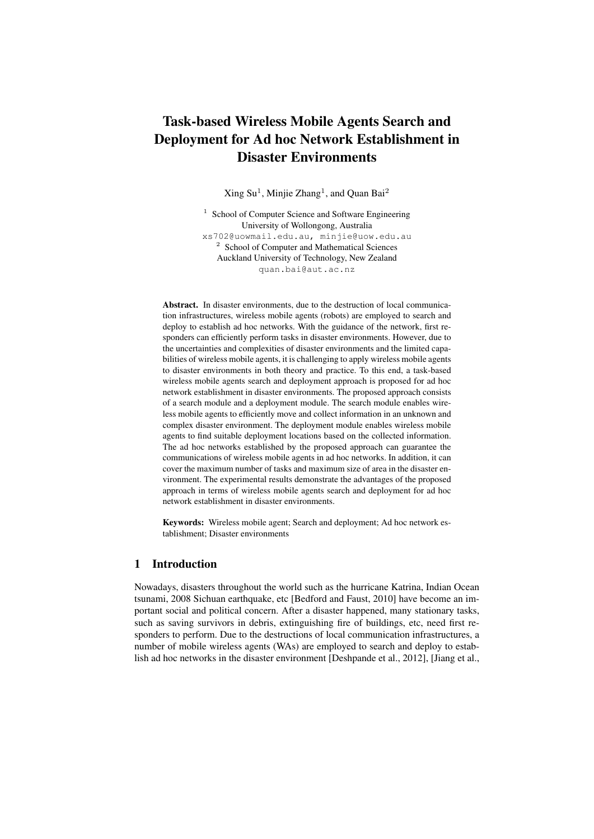# Task-based Wireless Mobile Agents Search and Deployment for Ad hoc Network Establishment in Disaster Environments

 $Xing Su<sup>1</sup>$ , Minjie Zhang<sup>1</sup>, and Quan Bai<sup>2</sup>

<sup>1</sup> School of Computer Science and Software Engineering University of Wollongong, Australia xs702@uowmail.edu.au, minjie@uow.edu.au <sup>2</sup> School of Computer and Mathematical Sciences Auckland University of Technology, New Zealand quan.bai@aut.ac.nz

Abstract. In disaster environments, due to the destruction of local communication infrastructures, wireless mobile agents (robots) are employed to search and deploy to establish ad hoc networks. With the guidance of the network, first responders can efficiently perform tasks in disaster environments. However, due to the uncertainties and complexities of disaster environments and the limited capabilities of wireless mobile agents, it is challenging to apply wireless mobile agents to disaster environments in both theory and practice. To this end, a task-based wireless mobile agents search and deployment approach is proposed for ad hoc network establishment in disaster environments. The proposed approach consists of a search module and a deployment module. The search module enables wireless mobile agents to efficiently move and collect information in an unknown and complex disaster environment. The deployment module enables wireless mobile agents to find suitable deployment locations based on the collected information. The ad hoc networks established by the proposed approach can guarantee the communications of wireless mobile agents in ad hoc networks. In addition, it can cover the maximum number of tasks and maximum size of area in the disaster environment. The experimental results demonstrate the advantages of the proposed approach in terms of wireless mobile agents search and deployment for ad hoc network establishment in disaster environments.

Keywords: Wireless mobile agent; Search and deployment; Ad hoc network establishment; Disaster environments

# 1 Introduction

Nowadays, disasters throughout the world such as the hurricane Katrina, Indian Ocean tsunami, 2008 Sichuan earthquake, etc [Bedford and Faust, 2010] have become an important social and political concern. After a disaster happened, many stationary tasks, such as saving survivors in debris, extinguishing fire of buildings, etc, need first responders to perform. Due to the destructions of local communication infrastructures, a number of mobile wireless agents (WAs) are employed to search and deploy to establish ad hoc networks in the disaster environment [Deshpande et al., 2012], [Jiang et al.,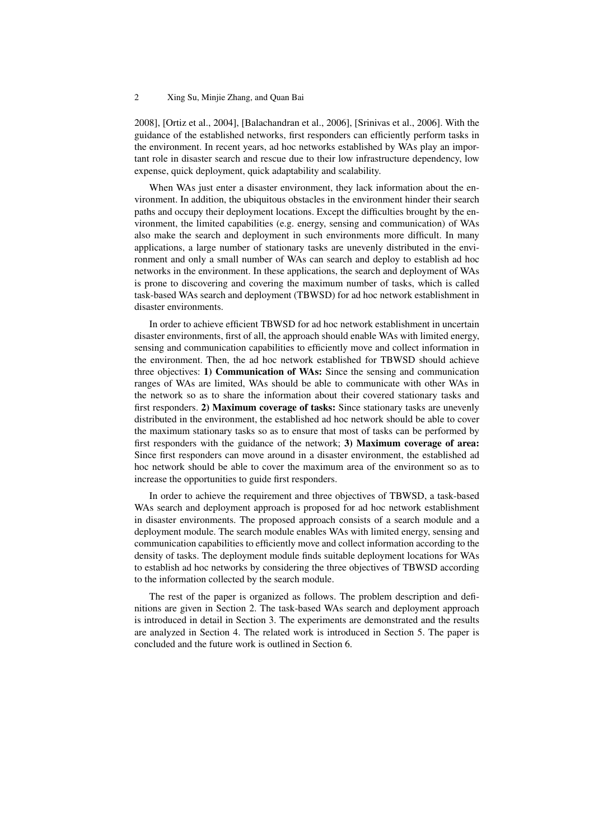2008], [Ortiz et al., 2004], [Balachandran et al., 2006], [Srinivas et al., 2006]. With the guidance of the established networks, first responders can efficiently perform tasks in the environment. In recent years, ad hoc networks established by WAs play an important role in disaster search and rescue due to their low infrastructure dependency, low expense, quick deployment, quick adaptability and scalability.

When WAs just enter a disaster environment, they lack information about the environment. In addition, the ubiquitous obstacles in the environment hinder their search paths and occupy their deployment locations. Except the difficulties brought by the environment, the limited capabilities (e.g. energy, sensing and communication) of WAs also make the search and deployment in such environments more difficult. In many applications, a large number of stationary tasks are unevenly distributed in the environment and only a small number of WAs can search and deploy to establish ad hoc networks in the environment. In these applications, the search and deployment of WAs is prone to discovering and covering the maximum number of tasks, which is called task-based WAs search and deployment (TBWSD) for ad hoc network establishment in disaster environments.

In order to achieve efficient TBWSD for ad hoc network establishment in uncertain disaster environments, first of all, the approach should enable WAs with limited energy, sensing and communication capabilities to efficiently move and collect information in the environment. Then, the ad hoc network established for TBWSD should achieve three objectives: 1) Communication of WAs: Since the sensing and communication ranges of WAs are limited, WAs should be able to communicate with other WAs in the network so as to share the information about their covered stationary tasks and first responders. 2) Maximum coverage of tasks: Since stationary tasks are unevenly distributed in the environment, the established ad hoc network should be able to cover the maximum stationary tasks so as to ensure that most of tasks can be performed by first responders with the guidance of the network; 3) Maximum coverage of area: Since first responders can move around in a disaster environment, the established ad hoc network should be able to cover the maximum area of the environment so as to increase the opportunities to guide first responders.

In order to achieve the requirement and three objectives of TBWSD, a task-based WAs search and deployment approach is proposed for ad hoc network establishment in disaster environments. The proposed approach consists of a search module and a deployment module. The search module enables WAs with limited energy, sensing and communication capabilities to efficiently move and collect information according to the density of tasks. The deployment module finds suitable deployment locations for WAs to establish ad hoc networks by considering the three objectives of TBWSD according to the information collected by the search module.

The rest of the paper is organized as follows. The problem description and definitions are given in Section 2. The task-based WAs search and deployment approach is introduced in detail in Section 3. The experiments are demonstrated and the results are analyzed in Section 4. The related work is introduced in Section 5. The paper is concluded and the future work is outlined in Section 6.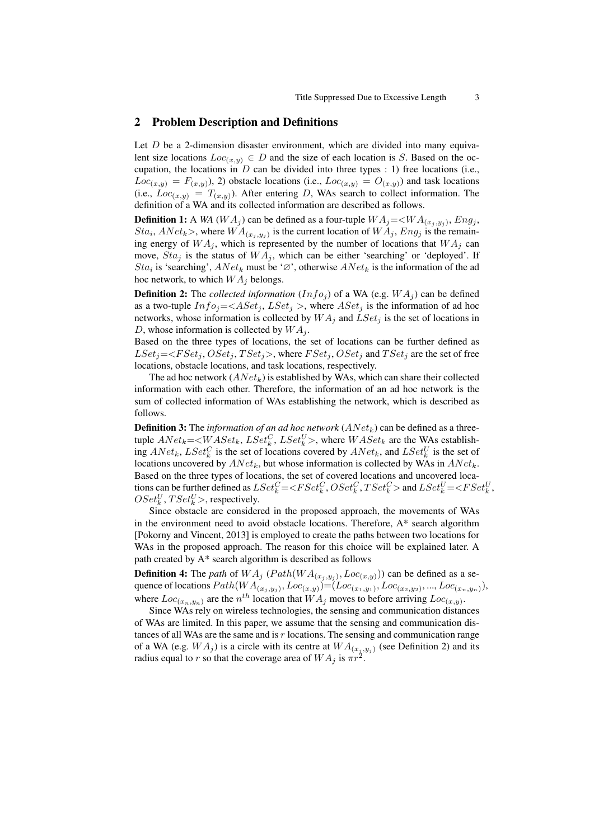#### 2 Problem Description and Definitions

Let  $D$  be a 2-dimension disaster environment, which are divided into many equivalent size locations  $Loc_{(x,y)} \in D$  and the size of each location is S. Based on the occupation, the locations in  $D$  can be divided into three types : 1) free locations (i.e.,  $Loc_{(x,y)} = F_{(x,y)}$ , 2) obstacle locations (i.e.,  $Loc_{(x,y)} = O_{(x,y)}$ ) and task locations (i.e.,  $Loc_{(x,y)} = T_{(x,y)}$ ). After entering D, WAs search to collect information. The definition of a WA and its collected information are described as follows.

**Definition 1:** A *WA* ( $WA_j$ ) can be defined as a four-tuple  $WA_j = \langle WA_{(x_j, y_j)}, Eng_j,$  $Sta_i$ ,  $ANet_k$ , where  $WA_{(x_j, y_j)}$  is the current location of  $WA_j$ ,  $Eng_j$  is the remaining energy of  $WA_j$ , which is represented by the number of locations that  $WA_j$  can move,  $Sta_j$  is the status of  $WA_j$ , which can be either 'searching' or 'deployed'. If  $Sta_i$  is 'searching',  $ANet_k$  must be '∅', otherwise  $ANet_k$  is the information of the ad hoc network, to which  $WA_i$  belongs.

**Definition 2:** The *collected information* ( $Info<sub>j</sub>$ ) of a WA (e.g.  $WA<sub>j</sub>$ ) can be defined as a two-tuple  $Info_j = < ASet_j$ ,  $LSet_j$ , where  $ASet_j$  is the information of ad hoc networks, whose information is collected by  $WA_i$  and  $LSet_i$  is the set of locations in D, whose information is collected by  $WA_i$ .

Based on the three types of locations, the set of locations can be further defined as  $LSet_j = \langle FSet_j, OSet_j, TSet_j \rangle$ , where  $FSet_j, OSet_j$  and  $TSet_j$  are the set of free locations, obstacle locations, and task locations, respectively.

The ad hoc network  $(ANet_k)$  is established by WAs, which can share their collected information with each other. Therefore, the information of an ad hoc network is the sum of collected information of WAs establishing the network, which is described as follows.

**Definition 3:** The *information of an ad hoc network*  $(ANet<sub>k</sub>)$  can be defined as a threetuple  $ANet_k = \langle WASet_k, LSet_k^C, LSet_k^U \rangle$ , where  $WASet_k$  are the WAs establishing  $\mathit{ANet}_k$ ,  $\mathit{LSet}^C_k$  is the set of locations covered by  $\mathit{ANet}_k$ , and  $\mathit{LSet}^U_k$  is the set of locations uncovered by  $ANet_k$ , but whose information is collected by WAs in  $ANet_k$ . Based on the three types of locations, the set of covered locations and uncovered locations can be further defined as  $LSet^C_k = \langle FSet^C_k, OSet^C_k, TSet^C_k \rangle$  and  $LSet^U_k = \langle FSet^U_k,$  $OSet_k^U, TSet_k^U$ >, respectively.

Since obstacle are considered in the proposed approach, the movements of WAs in the environment need to avoid obstacle locations. Therefore, A\* search algorithm [Pokorny and Vincent, 2013] is employed to create the paths between two locations for WAs in the proposed approach. The reason for this choice will be explained later. A path created by A\* search algorithm is described as follows

**Definition 4:** The *path* of  $WA_j$  ( $Path(WA_{(x_j, y_j)}, Loc_{(x,y)})$ ) can be defined as a sequence of locations  $Path(WA_{(x_j, y_j)}, Loc_{(x,y)}) = (Loc_{(x_1, y_1)}, Loc_{(x_2, y_2)}, ..., Loc_{(x_n, y_n)}),$ where  $Loc_{(x_n,y_n)}$  are the  $n^{th}$  location that  $WA_j$  moves to before arriving  $Loc_{(x,y)}$ .

Since WAs rely on wireless technologies, the sensing and communication distances of WAs are limited. In this paper, we assume that the sensing and communication distances of all WAs are the same and is  $r$  locations. The sensing and communication range of a WA (e.g.  $WA_j$ ) is a circle with its centre at  $WA_{(x_j, y_j)}$  (see Definition 2) and its radius equal to r so that the coverage area of  $WA_j$  is  $\pi r$ .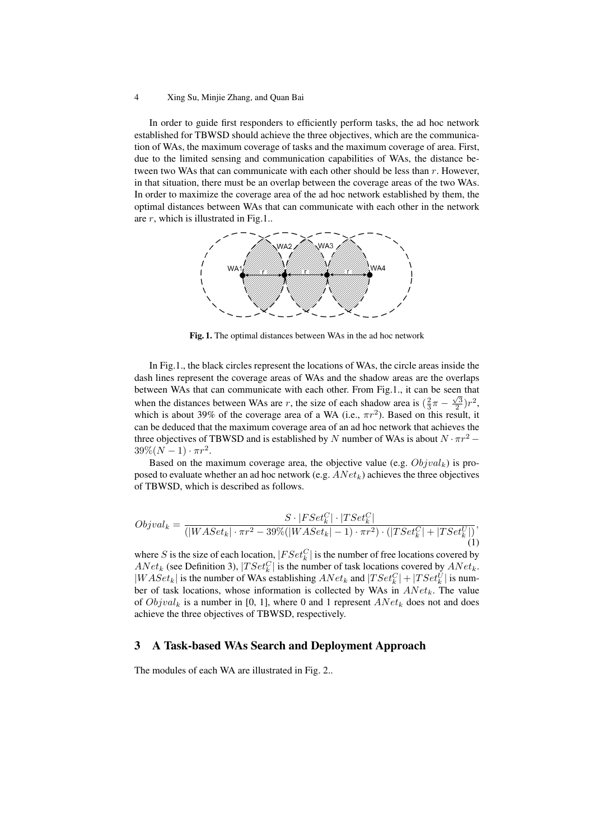In order to guide first responders to efficiently perform tasks, the ad hoc network established for TBWSD should achieve the three objectives, which are the communication of WAs, the maximum coverage of tasks and the maximum coverage of area. First, due to the limited sensing and communication capabilities of WAs, the distance between two WAs that can communicate with each other should be less than r. However, in that situation, there must be an overlap between the coverage areas of the two WAs. In order to maximize the coverage area of the ad hoc network established by them, the optimal distances between WAs that can communicate with each other in the network are  $r$ , which is illustrated in Fig.1..



Fig. 1. The optimal distances between WAs in the ad hoc network

In Fig.1., the black circles represent the locations of WAs, the circle areas inside the dash lines represent the coverage areas of WAs and the shadow areas are the overlaps between WAs that can communicate with each other. From Fig.1., it can be seen that when the distances between WAs are r, the size of each shadow area is  $(\frac{2}{3}\pi - \frac{\sqrt{3}}{2})r^2$ , which is about 39% of the coverage area of a WA (i.e.,  $\pi r^2$ ). Based on this result, it can be deduced that the maximum coverage area of an ad hoc network that achieves the three objectives of TBWSD and is established by N number of WAs is about  $N \cdot \pi r^2$  –  $39\% (N-1) \cdot \pi r^2$ .

Based on the maximum coverage area, the objective value (e.g.  $Objval_k$ ) is proposed to evaluate whether an ad hoc network (e.g.  $ANet_k$ ) achieves the three objectives of TBWSD, which is described as follows.

$$
Objval_k = \frac{S \cdot |FSet_k^C| \cdot |TSet_k^C|}{(|WASE_k| \cdot \pi r^2 - 39\%(|WASE_k| - 1) \cdot \pi r^2) \cdot (|TSet_k^C| + |TSet_k^U|)},
$$
(1)

where S is the size of each location,  $|FSet_k^C|$  is the number of free locations covered by  $ANet_k$  (see Definition 3),  $|TSet_k^C|$  is the number of task locations covered by  $ANet_k$ .  $|WASEt_k|$  is the number of WAs establishing  $ANet_k$  and  $|TSet_k^C| + |TSet_k^U|$  is number of task locations, whose information is collected by WAs in  $ANet_k$ . The value of  $Objval_k$  is a number in [0, 1], where 0 and 1 represent  $ANet_k$  does not and does achieve the three objectives of TBWSD, respectively.

## 3 A Task-based WAs Search and Deployment Approach

The modules of each WA are illustrated in Fig. 2..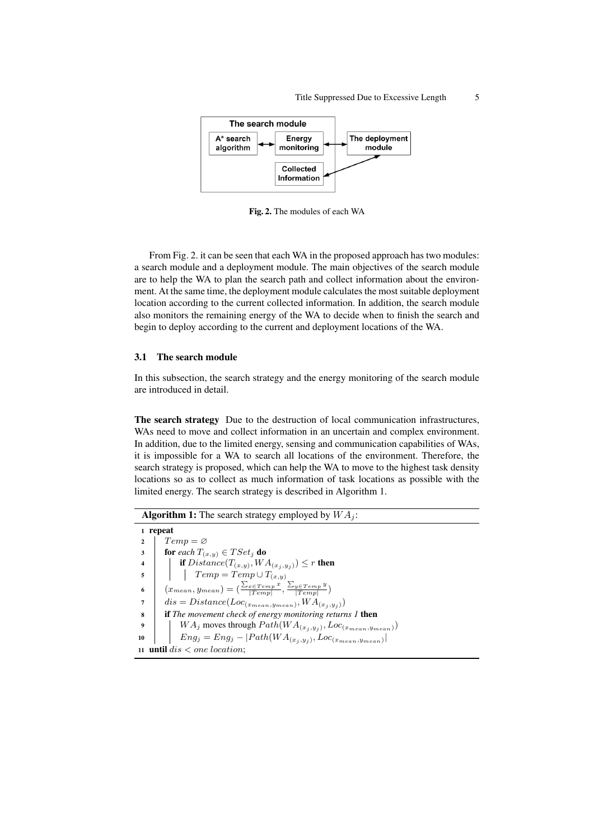

Fig. 2. The modules of each WA

From Fig. 2. it can be seen that each WA in the proposed approach has two modules: a search module and a deployment module. The main objectives of the search module are to help the WA to plan the search path and collect information about the environment. At the same time, the deployment module calculates the most suitable deployment location according to the current collected information. In addition, the search module also monitors the remaining energy of the WA to decide when to finish the search and begin to deploy according to the current and deployment locations of the WA.

#### 3.1 The search module

In this subsection, the search strategy and the energy monitoring of the search module are introduced in detail.

The search strategy Due to the destruction of local communication infrastructures, WAs need to move and collect information in an uncertain and complex environment. In addition, due to the limited energy, sensing and communication capabilities of WAs, it is impossible for a WA to search all locations of the environment. Therefore, the search strategy is proposed, which can help the WA to move to the highest task density locations so as to collect as much information of task locations as possible with the limited energy. The search strategy is described in Algorithm 1.

**Algorithm 1:** The search strategy employed by  $WA_i$ : <sup>1</sup> repeat  $Temp = \varnothing$ **for** each  $T_{(x,y)} \in TSet_j$  do **if**  $Distance(T_{(x,y)}, WA_{(x_i, y_j)}) \leq r$  then  $\vert$   $\vert$   $Temp = Temp \cup T_{(x,y)}$  $(x_{mean}, y_{mean}) = (\frac{\sum_{x \in Temp} x}{|Temp|}, \frac{\sum_{y \in Temp} y}{|Temp|})$  $dis = Distance(Loc_{(x_{mean}, y_{mean})}, WA_{(x_i, y_i)})$  if *The movement check of energy monitoring returns 1* then 9 | W $A_j$  moves through  $Path(WA_{(x_j, y_j)}, Loc_{(x_{mean}, y_{mean})})$  $\left| \quad \right|$   $Eng_j = Eng_j - |Path(WA_{(x_j, y_j)}, Loc_{(x_{mean}, y_{mean})}|)$ **until**  $dis < one$  location;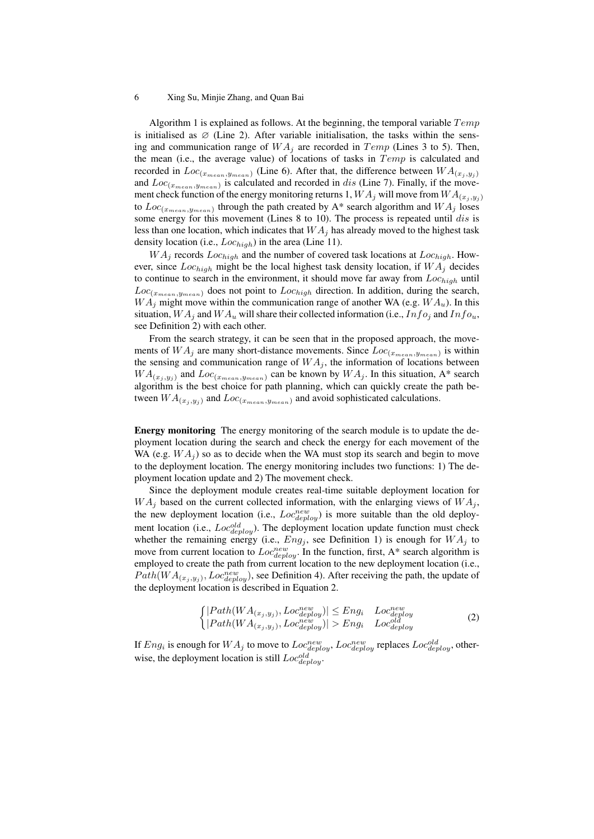Algorithm 1 is explained as follows. At the beginning, the temporal variable  $Temp$ is initialised as  $\varnothing$  (Line 2). After variable initialisation, the tasks within the sensing and communication range of  $WA_i$  are recorded in  $Temp$  (Lines 3 to 5). Then, the mean (i.e., the average value) of locations of tasks in  $Temp$  is calculated and recorded in  $Loc_{(x_{mean}, y_{mean})}$  (Line 6). After that, the difference between  $WA_{(x_j, y_j)}$ and  $Loc_{(x_{mean}, y_{mean})}$  is calculated and recorded in *dis* (Line 7). Finally, if the movement check function of the energy monitoring returns 1,  $WA_j$  will move from  $WA_{(x_i, y_j)}$ to  $Loc_{(x_{mean}, y_{mean})}$  through the path created by A\* search algorithm and  $WA_j$  loses some energy for this movement (Lines 8 to 10). The process is repeated until dis is less than one location, which indicates that  $WA<sub>j</sub>$  has already moved to the highest task density location (i.e.,  $Loc_{high}$ ) in the area (Line 11).

 $WA_j$  records  $Loc_{high}$  and the number of covered task locations at  $Loc_{high}$ . However, since  $Loc_{high}$  might be the local highest task density location, if  $WA_i$  decides to continue to search in the environment, it should move far away from  $Loc_{high}$  until  $Loc_{(x_{mean}, y_{mean})}$  does not point to  $Loc_{high}$  direction. In addition, during the search,  $WA_i$  might move within the communication range of another WA (e.g.  $WA_u$ ). In this situation,  $WA_i$  and  $WA_u$  will share their collected information (i.e.,  $Info_i$  and  $Info_u$ , see Definition 2) with each other.

From the search strategy, it can be seen that in the proposed approach, the movements of  $WA_j$  are many short-distance movements. Since  $Loc_{(x_{mean}, y_{mean})}$  is within the sensing and communication range of  $WA_j$ , the information of locations between  $WA_{(x_j, y_j)}$  and  $Loc_{(x_{mean}, y_{mean})}$  can be known by  $WA_j$ . In this situation, A\* search algorithm is the best choice for path planning, which can quickly create the path between  $WA_{(x_i, y_j)}$  and  $Loc_{(x_{mean}, y_{mean})}$  and avoid sophisticated calculations.

Energy monitoring The energy monitoring of the search module is to update the deployment location during the search and check the energy for each movement of the WA (e.g.  $WA<sub>i</sub>$ ) so as to decide when the WA must stop its search and begin to move to the deployment location. The energy monitoring includes two functions: 1) The deployment location update and 2) The movement check.

Since the deployment module creates real-time suitable deployment location for  $WA_i$  based on the current collected information, with the enlarging views of  $WA_i$ , the new deployment location (i.e.,  $Loc^{new}_{deploy}$ ) is more suitable than the old deployment location (i.e.,  $Loc_{deploy}^{old}$ ). The deployment location update function must check whether the remaining energy (i.e.,  $Eng_j$ , see Definition 1) is enough for  $WA_j$  to move from current location to  $Loc_{deploy}^{new}$ . In the function, first, A\* search algorithm is employed to create the path from current location to the new deployment location (i.e.,  $Path(WA_{(x_j, y_j)}, Loc_{depth(y)}^{new})$ , see Definition 4). After receiving the path, the update of the deployment location is described in Equation 2.

$$
\begin{cases} |Path(WA_{(x_j, y_j)}, Loc_{deplay}^{new})| \leq Eng_i: Loc_{deplay}^{new} \\ |Path(WA_{(x_j, y_j)}, Loc_{deplay}^{new})| > Eng_i: Loc_{deplay}^{old} \end{cases} \tag{2}
$$

If  $Eng_i$  is enough for  $WA_j$  to move to  $Loc_{deploy}^{new}$ ,  $Loc_{deploy}^{new}$  replaces  $Loc_{deploy}^{old}$ , otherwise, the deployment location is still  $Loc_{deploy}^{old}$ .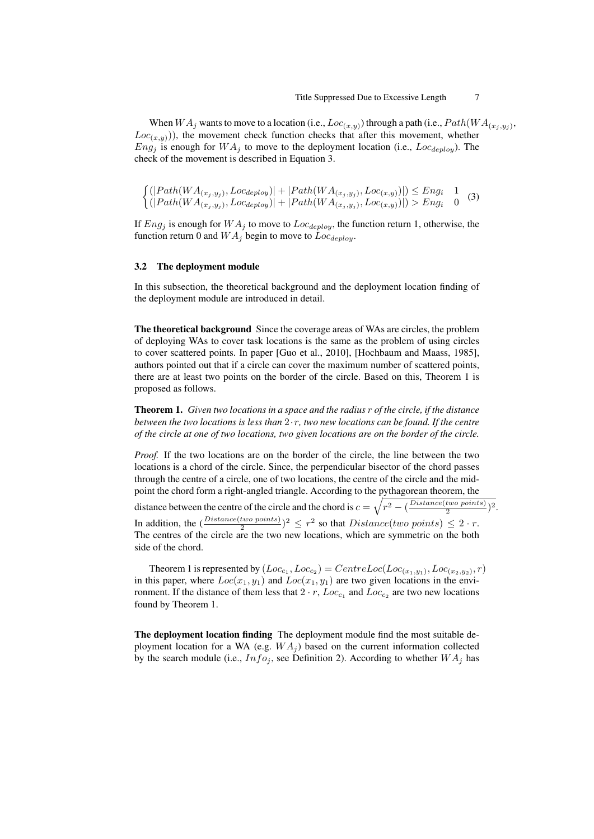When  $WA_j$  wants to move to a location (i.e.,  $Loc_{(x,y)}$ ) through a path (i.e.,  $Path(WA_{(x_j, y_j)},$  $Loc_{(x,y)}$ ), the movement check function checks that after this movement, whether  $Eng<sub>j</sub>$  is enough for  $WA<sub>j</sub>$  to move to the deployment location (i.e.,  $Loc_{deploy}$ ). The check of the movement is described in Equation 3.

$$
\begin{cases}\n(|Path(WA_{(x_j,y_j)},Loc_{deploy})| + |Path(WA_{(x_j,y_j)},Loc_{(x,y)})|) \leq Eng_i & 1 \\
(|Path(WA_{(x_j,y_j)},Loc_{deploy})| + |Path(WA_{(x_j,y_j)},Loc_{(x,y)})|) > Eng_i & 0\n\end{cases}
$$
\n(3)

If  $Eng_j$  is enough for  $WA_j$  to move to  $Loc_{deploy}$ , the function return 1, otherwise, the function return 0 and  $WA_i$  begin to move to  $Loc_{denlow}$ .

#### 3.2 The deployment module

In this subsection, the theoretical background and the deployment location finding of the deployment module are introduced in detail.

The theoretical background Since the coverage areas of WAs are circles, the problem of deploying WAs to cover task locations is the same as the problem of using circles to cover scattered points. In paper [Guo et al., 2010], [Hochbaum and Maass, 1985], authors pointed out that if a circle can cover the maximum number of scattered points, there are at least two points on the border of the circle. Based on this, Theorem 1 is proposed as follows.

Theorem 1. *Given two locations in a space and the radius* r *of the circle, if the distance between the two locations is less than* 2·r*, two new locations can be found. If the centre of the circle at one of two locations, two given locations are on the border of the circle.*

*Proof.* If the two locations are on the border of the circle, the line between the two locations is a chord of the circle. Since, the perpendicular bisector of the chord passes through the centre of a circle, one of two locations, the centre of the circle and the midpoint the chord form a right-angled triangle. According to the pythagorean theorem, the

distance between the centre of the circle and the chord is  $c = \sqrt{r^2 - (\frac{Distance(two points)}{2})}$  $\frac{two~points)}{2}\big)^2.$ In addition, the  $(\frac{Distance(two points)}{2})^2 \leq r^2$  so that  $Distance(two points) \leq 2 \cdot r$ . The centres of the circle are the two new locations, which are symmetric on the both side of the chord.

Theorem 1 is represented by  $(Loc_{c_1}, Loc_{c_2}) = CentreLoc(Loc_{(x_1,y_1)}, Loc_{(x_2,y_2)}, r)$ in this paper, where  $Loc(x_1, y_1)$  and  $Loc(x_1, y_1)$  are two given locations in the environment. If the distance of them less that  $2 \cdot r$ ,  $Loc_{c_1}$  and  $Loc_{c_2}$  are two new locations found by Theorem 1.

The deployment location finding The deployment module find the most suitable deployment location for a WA (e.g.  $WA_j$ ) based on the current information collected by the search module (i.e.,  $Info_j$ , see Definition 2). According to whether  $WA_j$  has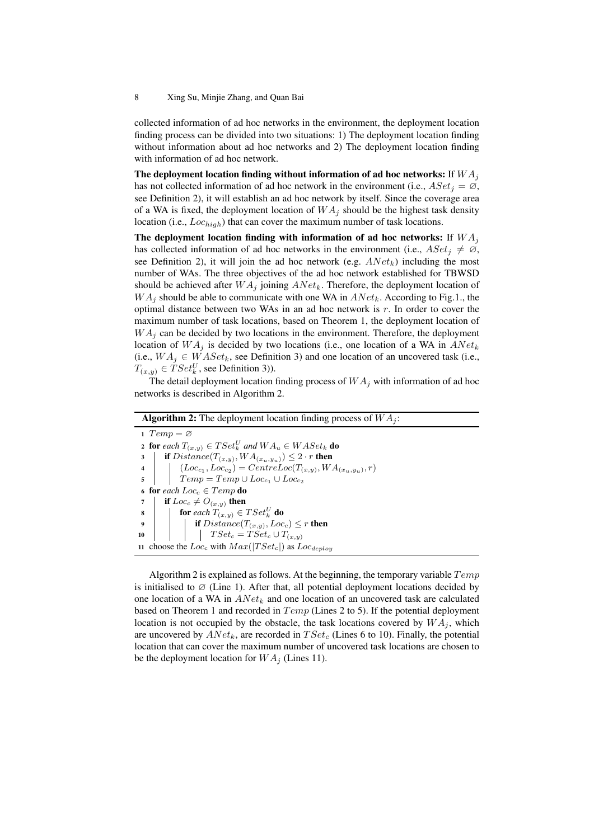collected information of ad hoc networks in the environment, the deployment location finding process can be divided into two situations: 1) The deployment location finding without information about ad hoc networks and 2) The deployment location finding with information of ad hoc network.

The deployment location finding without information of ad hoc networks: If  $WA_i$ has not collected information of ad hoc network in the environment (i.e.,  $ASet_i = \emptyset$ , see Definition 2), it will establish an ad hoc network by itself. Since the coverage area of a WA is fixed, the deployment location of  $WA_j$  should be the highest task density location (i.e.,  $Loc_{high}$ ) that can cover the maximum number of task locations.

The deployment location finding with information of ad hoc networks: If  $WA_i$ has collected information of ad hoc networks in the environment (i.e.,  $ASet_i \neq \emptyset$ , see Definition 2), it will join the ad hoc network (e.g.  $ANet_k$ ) including the most number of WAs. The three objectives of the ad hoc network established for TBWSD should be achieved after  $WA_j$  joining  $ANet_k$ . Therefore, the deployment location of  $WA_i$  should be able to communicate with one WA in  $ANet_k$ . According to Fig.1., the optimal distance between two WAs in an ad hoc network is  $r$ . In order to cover the maximum number of task locations, based on Theorem 1, the deployment location of  $WA_i$  can be decided by two locations in the environment. Therefore, the deployment location of  $WA_i$  is decided by two locations (i.e., one location of a WA in  $ANet_k$ (i.e.,  $WA_i \in WASEt_k$ , see Definition 3) and one location of an uncovered task (i.e.,  $T(x,y) \in TSet_k^U$ , see Definition 3)).

The detail deployment location finding process of  $WA_j$  with information of ad hoc networks is described in Algorithm 2.

| <b>Algorithm 2:</b> The deployment location finding process of $WA_i$ :                                                                                                                                                                                         |
|-----------------------------------------------------------------------------------------------------------------------------------------------------------------------------------------------------------------------------------------------------------------|
| 1 $Temp = \varnothing$                                                                                                                                                                                                                                          |
| 2 for each $T_{(x,y)} \in TSet_k^U$ and $WA_u \in WASE_k$ do                                                                                                                                                                                                    |
| 3   if $Distance(T_{(x,y)}, WA_{(x_u,y_u)}) \leq 2 \cdot r$ then                                                                                                                                                                                                |
| $\begin{array}{c c} \hline \texttt{4} & (Loc_{c_1}, Loc_{c_2}) = CentreLoc(T_{(x,y)}, WA_{(x_u,y_u)}, r) \\ \hline \end{array}$                                                                                                                                 |
|                                                                                                                                                                                                                                                                 |
| 6 for each $Locc \in Temp$ do                                                                                                                                                                                                                                   |
| if $Locc \neq O(x,y)$ then                                                                                                                                                                                                                                      |
|                                                                                                                                                                                                                                                                 |
|                                                                                                                                                                                                                                                                 |
| 8<br><b>60</b> $\begin{array}{c c} \n\hline\n\text{for each } T_{(x,y)} \in TSet_k^U \text{ do} \\ \hline\n\text{if Distance}(T_{(x,y)}, Loc_c) \leq r \text{ then} \\ \hline\n\text{if Distance}(T_{(x,y)}, Loc_c) \leq r \text{ then} \\ \hline\n\end{array}$ |
| 11 choose the $Locc$ with $Max( TSetc )$ as $Locdeploy$                                                                                                                                                                                                         |

Algorithm 2 is explained as follows. At the beginning, the temporary variable  $Temp$ is initialised to  $\varnothing$  (Line 1). After that, all potential deployment locations decided by one location of a WA in  $ANet_k$  and one location of an uncovered task are calculated based on Theorem 1 and recorded in  $Temp$  (Lines 2 to 5). If the potential deployment location is not occupied by the obstacle, the task locations covered by  $WA_i$ , which are uncovered by  $ANet_k$ , are recorded in  $TSet_c$  (Lines 6 to 10). Finally, the potential location that can cover the maximum number of uncovered task locations are chosen to be the deployment location for  $WA_j$  (Lines 11).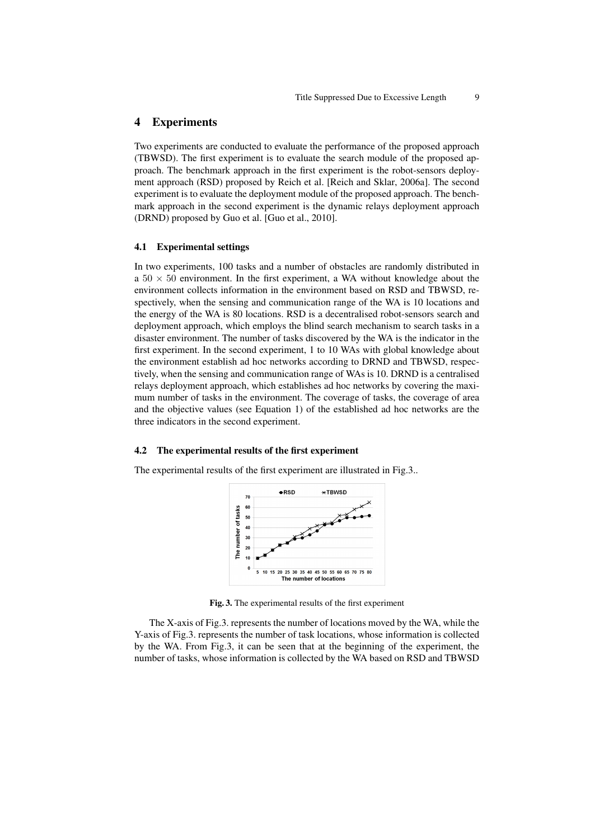#### 4 Experiments

Two experiments are conducted to evaluate the performance of the proposed approach (TBWSD). The first experiment is to evaluate the search module of the proposed approach. The benchmark approach in the first experiment is the robot-sensors deployment approach (RSD) proposed by Reich et al. [Reich and Sklar, 2006a]. The second experiment is to evaluate the deployment module of the proposed approach. The benchmark approach in the second experiment is the dynamic relays deployment approach (DRND) proposed by Guo et al. [Guo et al., 2010].

#### 4.1 Experimental settings

In two experiments, 100 tasks and a number of obstacles are randomly distributed in a  $50 \times 50$  environment. In the first experiment, a WA without knowledge about the environment collects information in the environment based on RSD and TBWSD, respectively, when the sensing and communication range of the WA is 10 locations and the energy of the WA is 80 locations. RSD is a decentralised robot-sensors search and deployment approach, which employs the blind search mechanism to search tasks in a disaster environment. The number of tasks discovered by the WA is the indicator in the first experiment. In the second experiment, 1 to 10 WAs with global knowledge about the environment establish ad hoc networks according to DRND and TBWSD, respectively, when the sensing and communication range of WAs is 10. DRND is a centralised relays deployment approach, which establishes ad hoc networks by covering the maximum number of tasks in the environment. The coverage of tasks, the coverage of area and the objective values (see Equation 1) of the established ad hoc networks are the three indicators in the second experiment.

### 4.2 The experimental results of the first experiment

The experimental results of the first experiment are illustrated in Fig.3..



Fig. 3. The experimental results of the first experiment

The X-axis of Fig.3. represents the number of locations moved by the WA, while the Y-axis of Fig.3. represents the number of task locations, whose information is collected by the WA. From Fig.3, it can be seen that at the beginning of the experiment, the number of tasks, whose information is collected by the WA based on RSD and TBWSD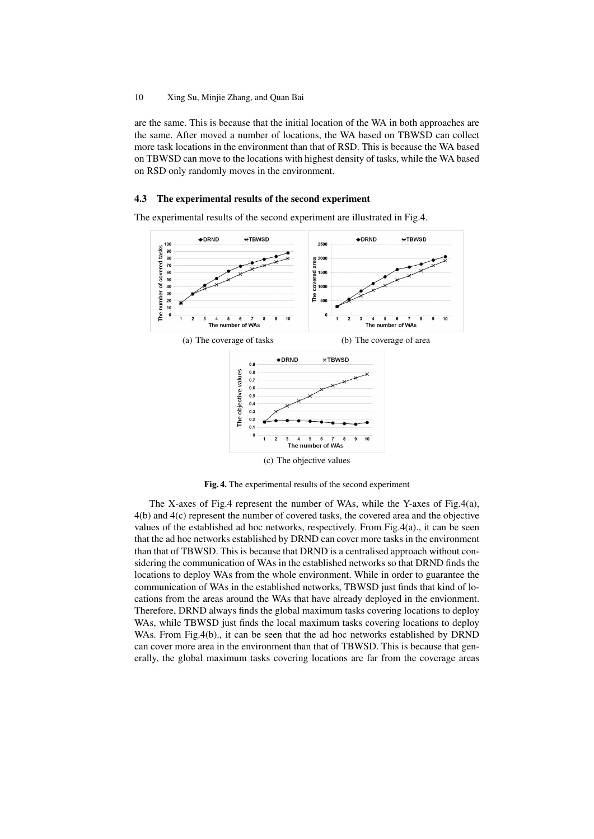are the same. This is because that the initial location of the WA in both approaches are the same. After moved a number of locations, the WA based on TBWSD can collect more task locations in the environment than that of RSD. This is because the WA based on TBWSD can move to the locations with highest density of tasks, while the WA based on RSD only randomly moves in the environment.

#### 4.3 The experimental results of the second experiment

The experimental results of the second experiment are illustrated in Fig.4.



Fig. 4. The experimental results of the second experiment

The X-axes of Fig.4 represent the number of WAs, while the Y-axes of Fig.4(a), 4(b) and 4(c) represent the number of covered tasks, the covered area and the objective values of the established ad hoc networks, respectively. From Fig.4(a)., it can be seen that the ad hoc networks established by DRND can cover more tasks in the environment than that of TBWSD. This is because that DRND is a centralised approach without considering the communication of WAs in the established networks so that DRND finds the locations to deploy WAs from the whole environment. While in order to guarantee the communication of WAs in the established networks, TBWSD just finds that kind of locations from the areas around the WAs that have already deployed in the envionment. Therefore, DRND always finds the global maximum tasks covering locations to deploy WAs, while TBWSD just finds the local maximum tasks covering locations to deploy WAs. From Fig.4(b)., it can be seen that the ad hoc networks established by DRND can cover more area in the environment than that of TBWSD. This is because that generally, the global maximum tasks covering locations are far from the coverage areas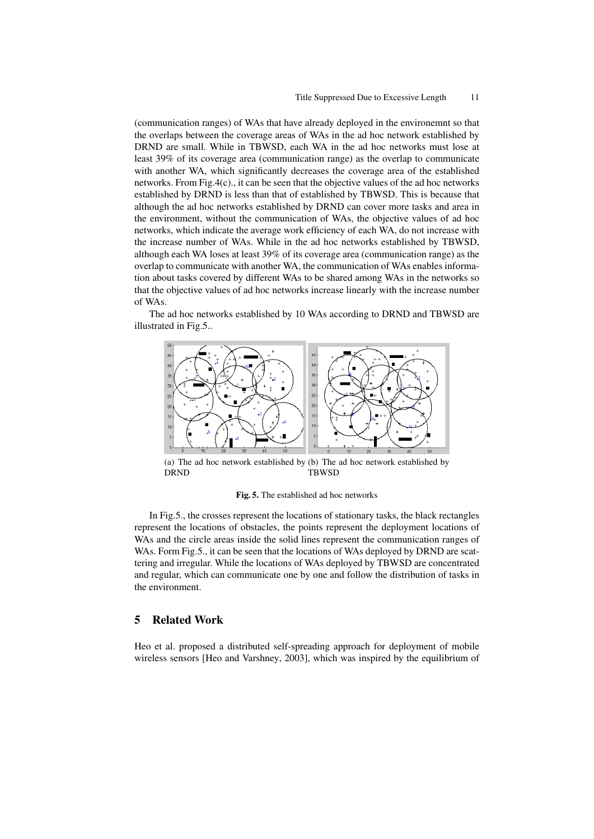(communication ranges) of WAs that have already deployed in the environemnt so that the overlaps between the coverage areas of WAs in the ad hoc network established by DRND are small. While in TBWSD, each WA in the ad hoc networks must lose at least 39% of its coverage area (communication range) as the overlap to communicate with another WA, which significantly decreases the coverage area of the established networks. From Fig.4(c)., it can be seen that the objective values of the ad hoc networks established by DRND is less than that of established by TBWSD. This is because that although the ad hoc networks established by DRND can cover more tasks and area in the environment, without the communication of WAs, the objective values of ad hoc networks, which indicate the average work efficiency of each WA, do not increase with the increase number of WAs. While in the ad hoc networks established by TBWSD, although each WA loses at least 39% of its coverage area (communication range) as the overlap to communicate with another WA, the communication of WAs enables information about tasks covered by different WAs to be shared among WAs in the networks so that the objective values of ad hoc networks increase linearly with the increase number of WAs.

The ad hoc networks established by 10 WAs according to DRND and TBWSD are illustrated in Fig.5..



(a) The ad hoc network established by (b) The ad hoc network established by DRND **TBWSD** 

Fig. 5. The established ad hoc networks

In Fig.5., the crosses represent the locations of stationary tasks, the black rectangles represent the locations of obstacles, the points represent the deployment locations of WAs and the circle areas inside the solid lines represent the communication ranges of WAs. Form Fig.5., it can be seen that the locations of WAs deployed by DRND are scattering and irregular. While the locations of WAs deployed by TBWSD are concentrated and regular, which can communicate one by one and follow the distribution of tasks in the environment.

# 5 Related Work

Heo et al. proposed a distributed self-spreading approach for deployment of mobile wireless sensors [Heo and Varshney, 2003], which was inspired by the equilibrium of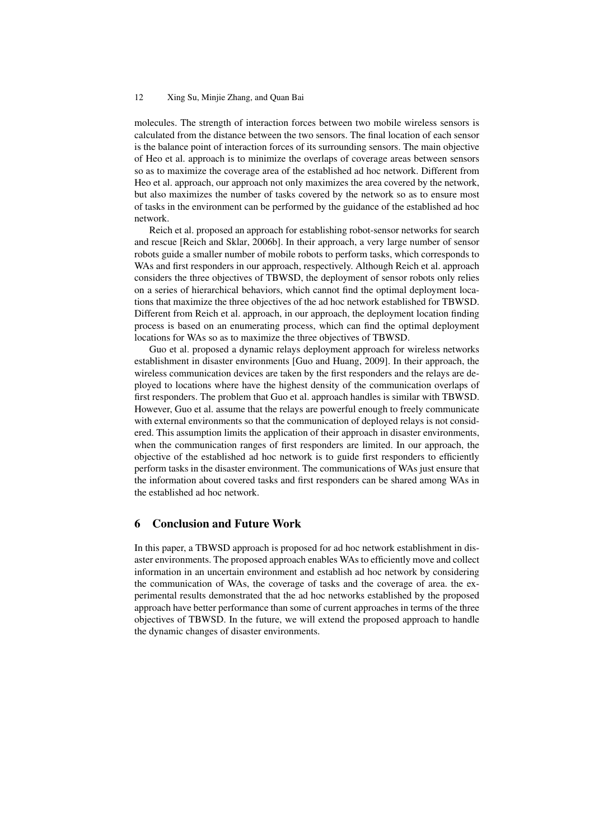molecules. The strength of interaction forces between two mobile wireless sensors is calculated from the distance between the two sensors. The final location of each sensor is the balance point of interaction forces of its surrounding sensors. The main objective of Heo et al. approach is to minimize the overlaps of coverage areas between sensors so as to maximize the coverage area of the established ad hoc network. Different from Heo et al. approach, our approach not only maximizes the area covered by the network, but also maximizes the number of tasks covered by the network so as to ensure most of tasks in the environment can be performed by the guidance of the established ad hoc network.

Reich et al. proposed an approach for establishing robot-sensor networks for search and rescue [Reich and Sklar, 2006b]. In their approach, a very large number of sensor robots guide a smaller number of mobile robots to perform tasks, which corresponds to WAs and first responders in our approach, respectively. Although Reich et al. approach considers the three objectives of TBWSD, the deployment of sensor robots only relies on a series of hierarchical behaviors, which cannot find the optimal deployment locations that maximize the three objectives of the ad hoc network established for TBWSD. Different from Reich et al. approach, in our approach, the deployment location finding process is based on an enumerating process, which can find the optimal deployment locations for WAs so as to maximize the three objectives of TBWSD.

Guo et al. proposed a dynamic relays deployment approach for wireless networks establishment in disaster environments [Guo and Huang, 2009]. In their approach, the wireless communication devices are taken by the first responders and the relays are deployed to locations where have the highest density of the communication overlaps of first responders. The problem that Guo et al. approach handles is similar with TBWSD. However, Guo et al. assume that the relays are powerful enough to freely communicate with external environments so that the communication of deployed relays is not considered. This assumption limits the application of their approach in disaster environments, when the communication ranges of first responders are limited. In our approach, the objective of the established ad hoc network is to guide first responders to efficiently perform tasks in the disaster environment. The communications of WAs just ensure that the information about covered tasks and first responders can be shared among WAs in the established ad hoc network.

# 6 Conclusion and Future Work

In this paper, a TBWSD approach is proposed for ad hoc network establishment in disaster environments. The proposed approach enables WAs to efficiently move and collect information in an uncertain environment and establish ad hoc network by considering the communication of WAs, the coverage of tasks and the coverage of area. the experimental results demonstrated that the ad hoc networks established by the proposed approach have better performance than some of current approaches in terms of the three objectives of TBWSD. In the future, we will extend the proposed approach to handle the dynamic changes of disaster environments.